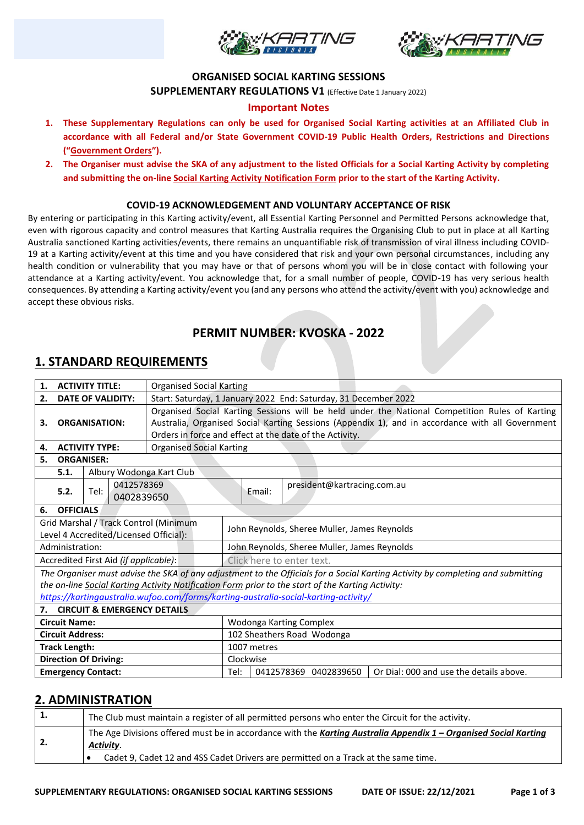



#### **ORGANISED SOCIAL KARTING SESSIONS**

**SUPPLEMENTARY REGULATIONS V1** (Effective Date 1 January 2022)

#### **Important Notes**

- **1. These Supplementary Regulations can only be used for Organised Social Karting activities at an Affiliated Club in accordance with all Federal and/or State Government COVID-19 Public Health Orders, Restrictions and Directions ("Government Orders").**
- **2. The Organiser must advise the SKA of any adjustment to the listed Officials for a Social Karting Activity by completing and submitting the on-line Social Karting Activity Notification Form prior to the start of the Karting Activity.**

#### **COVID-19 ACKNOWLEDGEMENT AND VOLUNTARY ACCEPTANCE OF RISK**

By entering or participating in this Karting activity/event, all Essential Karting Personnel and Permitted Persons acknowledge that, even with rigorous capacity and control measures that Karting Australia requires the Organising Club to put in place at all Karting Australia sanctioned Karting activities/events, there remains an unquantifiable risk of transmission of viral illness including COVID-19 at a Karting activity/event at this time and you have considered that risk and your own personal circumstances, including any health condition or vulnerability that you may have or that of persons whom you will be in close contact with following your attendance at a Karting activity/event. You acknowledge that, for a small number of people, COVID-19 has very serious health consequences. By attending a Karting activity/event you (and any persons who attend the activity/event with you) acknowledge and accept these obvious risks.

## **PERMIT NUMBER: KVOSKA - 2022**

## **1. STANDARD REQUIREMENTS**

| <b>ACTIVITY TITLE:</b><br>1.                                                                                                    |                                                                                                   |      |                          | <b>Organised Social Karting</b>                                                                                                                                                                                                                               |                                              |                       |                                         |  |  |
|---------------------------------------------------------------------------------------------------------------------------------|---------------------------------------------------------------------------------------------------|------|--------------------------|---------------------------------------------------------------------------------------------------------------------------------------------------------------------------------------------------------------------------------------------------------------|----------------------------------------------|-----------------------|-----------------------------------------|--|--|
| 2.<br><b>DATE OF VALIDITY:</b>                                                                                                  |                                                                                                   |      |                          | Start: Saturday, 1 January 2022 End: Saturday, 31 December 2022                                                                                                                                                                                               |                                              |                       |                                         |  |  |
| 3.<br><b>ORGANISATION:</b>                                                                                                      |                                                                                                   |      |                          | Organised Social Karting Sessions will be held under the National Competition Rules of Karting<br>Australia, Organised Social Karting Sessions (Appendix 1), and in accordance with all Government<br>Orders in force and effect at the date of the Activity. |                                              |                       |                                         |  |  |
| <b>ACTIVITY TYPE:</b><br>4.                                                                                                     |                                                                                                   |      |                          | Organised Social Karting                                                                                                                                                                                                                                      |                                              |                       |                                         |  |  |
| 5.<br><b>ORGANISER:</b>                                                                                                         |                                                                                                   |      |                          |                                                                                                                                                                                                                                                               |                                              |                       |                                         |  |  |
| Albury Wodonga Kart Club<br>5.1.                                                                                                |                                                                                                   |      |                          |                                                                                                                                                                                                                                                               |                                              |                       |                                         |  |  |
|                                                                                                                                 | 5.2.                                                                                              | Tel: | 0412578369<br>0402839650 |                                                                                                                                                                                                                                                               |                                              | Email:                | president@kartracing.com.au             |  |  |
| 6.                                                                                                                              | <b>OFFICIALS</b>                                                                                  |      |                          |                                                                                                                                                                                                                                                               |                                              |                       |                                         |  |  |
| Grid Marshal / Track Control (Minimum<br>Level 4 Accredited/Licensed Official):                                                 |                                                                                                   |      |                          |                                                                                                                                                                                                                                                               | John Reynolds, Sheree Muller, James Reynolds |                       |                                         |  |  |
| Administration:                                                                                                                 |                                                                                                   |      |                          |                                                                                                                                                                                                                                                               | John Reynolds, Sheree Muller, James Reynolds |                       |                                         |  |  |
| Accredited First Aid (if applicable):                                                                                           |                                                                                                   |      |                          |                                                                                                                                                                                                                                                               | Click here to enter text.                    |                       |                                         |  |  |
| The Organiser must advise the SKA of any adjustment to the Officials for a Social Karting Activity by completing and submitting |                                                                                                   |      |                          |                                                                                                                                                                                                                                                               |                                              |                       |                                         |  |  |
|                                                                                                                                 | the on-line Social Karting Activity Notification Form prior to the start of the Karting Activity: |      |                          |                                                                                                                                                                                                                                                               |                                              |                       |                                         |  |  |
|                                                                                                                                 | https://kartingaustralia.wufoo.com/forms/karting-australia-social-karting-activity/               |      |                          |                                                                                                                                                                                                                                                               |                                              |                       |                                         |  |  |
| 7.                                                                                                                              |                                                                                                   |      |                          | <b>CIRCUIT &amp; EMERGENCY DETAILS</b>                                                                                                                                                                                                                        |                                              |                       |                                         |  |  |
| <b>Circuit Name:</b>                                                                                                            |                                                                                                   |      |                          |                                                                                                                                                                                                                                                               | Wodonga Karting Complex                      |                       |                                         |  |  |
| <b>Circuit Address:</b>                                                                                                         |                                                                                                   |      |                          |                                                                                                                                                                                                                                                               | 102 Sheathers Road Wodonga                   |                       |                                         |  |  |
| <b>Track Length:</b>                                                                                                            |                                                                                                   |      |                          |                                                                                                                                                                                                                                                               | 1007 metres                                  |                       |                                         |  |  |
| <b>Direction Of Driving:</b>                                                                                                    |                                                                                                   |      |                          |                                                                                                                                                                                                                                                               | Clockwise                                    |                       |                                         |  |  |
| <b>Emergency Contact:</b>                                                                                                       |                                                                                                   |      |                          | Tel:                                                                                                                                                                                                                                                          |                                              | 0412578369 0402839650 | Or Dial: 000 and use the details above. |  |  |

## **2. ADMINISTRATION**

| 1. | The Club must maintain a register of all permitted persons who enter the Circuit for the activity.                                                                                                                  |  |  |  |
|----|---------------------------------------------------------------------------------------------------------------------------------------------------------------------------------------------------------------------|--|--|--|
| 2. | The Age Divisions offered must be in accordance with the Karting Australia Appendix 1 - Organised Social Karting<br>Activity.<br>Cadet 9, Cadet 12 and 4SS Cadet Drivers are permitted on a Track at the same time. |  |  |  |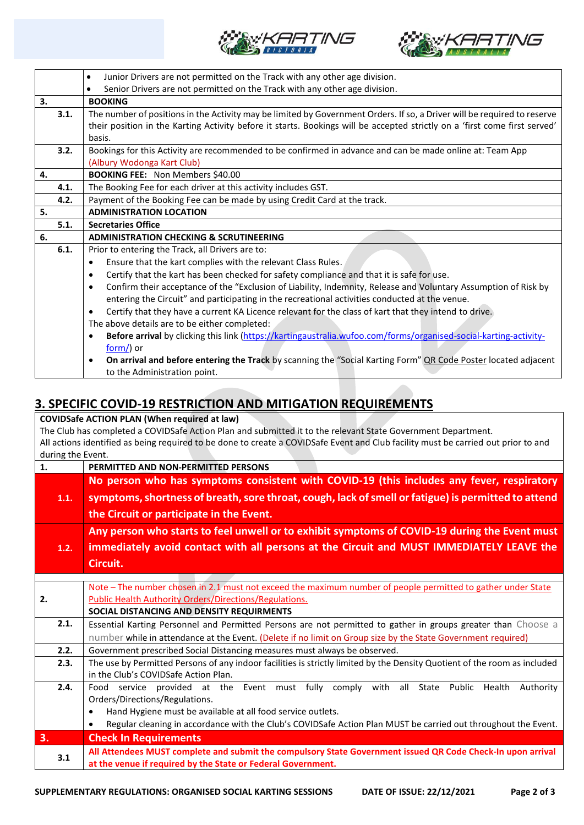



|    |      | Junior Drivers are not permitted on the Track with any other age division.<br>$\bullet$                                        |  |  |  |  |
|----|------|--------------------------------------------------------------------------------------------------------------------------------|--|--|--|--|
|    |      | Senior Drivers are not permitted on the Track with any other age division.<br>$\bullet$                                        |  |  |  |  |
| 3. |      | <b>BOOKING</b>                                                                                                                 |  |  |  |  |
|    | 3.1. | The number of positions in the Activity may be limited by Government Orders. If so, a Driver will be required to reserve       |  |  |  |  |
|    |      | their position in the Karting Activity before it starts. Bookings will be accepted strictly on a 'first come first served'     |  |  |  |  |
|    |      | basis.                                                                                                                         |  |  |  |  |
|    | 3.2. | Bookings for this Activity are recommended to be confirmed in advance and can be made online at: Team App                      |  |  |  |  |
|    |      | (Albury Wodonga Kart Club)                                                                                                     |  |  |  |  |
| 4. |      | <b>BOOKING FEE: Non Members \$40.00</b>                                                                                        |  |  |  |  |
|    | 4.1. | The Booking Fee for each driver at this activity includes GST.                                                                 |  |  |  |  |
|    | 4.2. | Payment of the Booking Fee can be made by using Credit Card at the track.                                                      |  |  |  |  |
| 5. |      | <b>ADMINISTRATION LOCATION</b>                                                                                                 |  |  |  |  |
|    | 5.1. | <b>Secretaries Office</b>                                                                                                      |  |  |  |  |
| 6. |      | <b>ADMINISTRATION CHECKING &amp; SCRUTINEERING</b>                                                                             |  |  |  |  |
|    | 6.1. | Prior to entering the Track, all Drivers are to:                                                                               |  |  |  |  |
|    |      | Ensure that the kart complies with the relevant Class Rules.<br>$\bullet$                                                      |  |  |  |  |
|    |      | Certify that the kart has been checked for safety compliance and that it is safe for use.<br>$\bullet$                         |  |  |  |  |
|    |      | Confirm their acceptance of the "Exclusion of Liability, Indemnity, Release and Voluntary Assumption of Risk by<br>$\bullet$   |  |  |  |  |
|    |      | entering the Circuit" and participating in the recreational activities conducted at the venue.                                 |  |  |  |  |
|    |      | Certify that they have a current KA Licence relevant for the class of kart that they intend to drive.<br>$\bullet$             |  |  |  |  |
|    |      | The above details are to be either completed:                                                                                  |  |  |  |  |
|    |      | Before arrival by clicking this link (https://kartingaustralia.wufoo.com/forms/organised-social-karting-activity-<br>$\bullet$ |  |  |  |  |
|    |      | $form/$ ) or                                                                                                                   |  |  |  |  |
|    |      | On arrival and before entering the Track by scanning the "Social Karting Form" QR Code Poster located adjacent<br>$\bullet$    |  |  |  |  |
|    |      | to the Administration point.                                                                                                   |  |  |  |  |

## **3. SPECIFIC COVID-19 RESTRICTION AND MITIGATION REQUIREMENTS**

| <b>COVIDSafe ACTION PLAN (When required at law)</b>                                           |                                                                                                                                    |  |  |  |  |
|-----------------------------------------------------------------------------------------------|------------------------------------------------------------------------------------------------------------------------------------|--|--|--|--|
|                                                                                               | The Club has completed a COVIDSafe Action Plan and submitted it to the relevant State Government Department.                       |  |  |  |  |
|                                                                                               | All actions identified as being required to be done to create a COVIDSafe Event and Club facility must be carried out prior to and |  |  |  |  |
| during the Event.                                                                             |                                                                                                                                    |  |  |  |  |
| 1.                                                                                            | PERMITTED AND NON-PERMITTED PERSONS                                                                                                |  |  |  |  |
| No person who has symptoms consistent with COVID-19 (this includes any fever, respiratory     |                                                                                                                                    |  |  |  |  |
| 1.1.                                                                                          | symptoms, shortness of breath, sore throat, cough, lack of smell or fatigue) is permitted to attend                                |  |  |  |  |
|                                                                                               | the Circuit or participate in the Event.                                                                                           |  |  |  |  |
| Any person who starts to feel unwell or to exhibit symptoms of COVID-19 during the Event must |                                                                                                                                    |  |  |  |  |
| 1.2.                                                                                          | immediately avoid contact with all persons at the Circuit and MUST IMMEDIATELY LEAVE the                                           |  |  |  |  |
|                                                                                               | Circuit.                                                                                                                           |  |  |  |  |
|                                                                                               |                                                                                                                                    |  |  |  |  |
|                                                                                               | Note - The number chosen in 2.1 must not exceed the maximum number of people permitted to gather under State                       |  |  |  |  |
| 2.                                                                                            | Public Health Authority Orders/Directions/Regulations.                                                                             |  |  |  |  |
|                                                                                               | SOCIAL DISTANCING AND DENSITY REQUIRMENTS                                                                                          |  |  |  |  |
| 2.1.                                                                                          | Essential Karting Personnel and Permitted Persons are not permitted to gather in groups greater than Choose a                      |  |  |  |  |
|                                                                                               | number while in attendance at the Event. (Delete if no limit on Group size by the State Government required)                       |  |  |  |  |
| 2.2.                                                                                          | Government prescribed Social Distancing measures must always be observed.                                                          |  |  |  |  |
| 2.3.                                                                                          | The use by Permitted Persons of any indoor facilities is strictly limited by the Density Quotient of the room as included          |  |  |  |  |
|                                                                                               | in the Club's COVIDSafe Action Plan.                                                                                               |  |  |  |  |
| 2.4.                                                                                          | Food service provided at the Event must fully comply with all<br>State Public<br>Health<br>Authority                               |  |  |  |  |
|                                                                                               | Orders/Directions/Regulations.                                                                                                     |  |  |  |  |
|                                                                                               | Hand Hygiene must be available at all food service outlets.<br>$\bullet$                                                           |  |  |  |  |
|                                                                                               | Regular cleaning in accordance with the Club's COVIDSafe Action Plan MUST be carried out throughout the Event.<br>$\bullet$        |  |  |  |  |
| 3.                                                                                            | <b>Check In Requirements</b>                                                                                                       |  |  |  |  |
| 3.1                                                                                           | All Attendees MUST complete and submit the compulsory State Government issued QR Code Check-In upon arrival                        |  |  |  |  |
|                                                                                               | at the venue if required by the State or Federal Government.                                                                       |  |  |  |  |